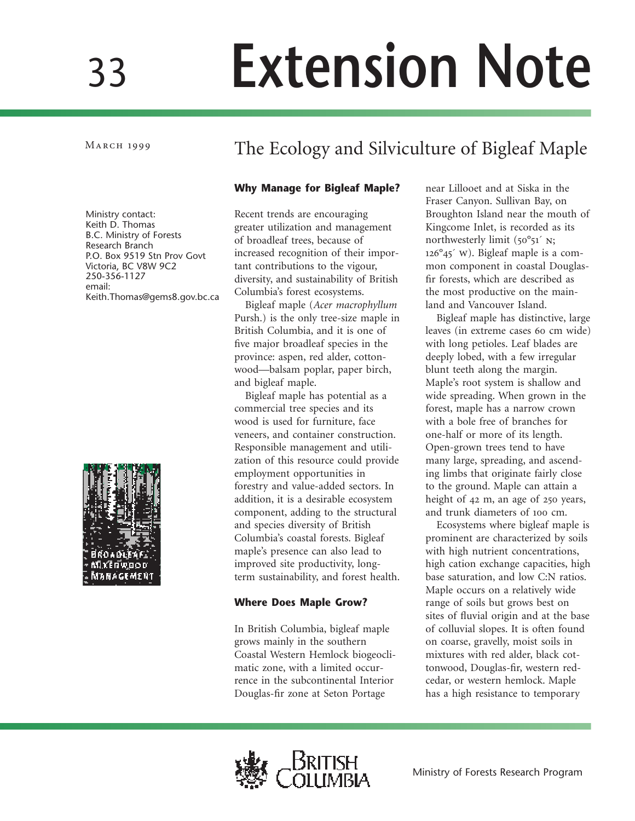# **Extension Note**

# MARCH 1999 The Ecology and Silviculture of Bigleaf Maple

# **Why Manage for Bigleaf Maple?**

Ministry contact: Keith D. Thomas B.C. Ministry of Forests Research Branch P.O. Box 9519 Stn Prov Govt Victoria, BC V8W 9C2 250-356-1127 email: Keith.Thomas@gems8.gov.bc.ca



Recent trends are encouraging greater utilization and management of broadleaf trees, because of increased recognition of their important contributions to the vigour, diversity, and sustainability of British Columbia's forest ecosystems.

Bigleaf maple (*Acer macrophyllum* Pursh.) is the only tree-size maple in British Columbia, and it is one of five major broadleaf species in the province: aspen, red alder, cottonwood—balsam poplar, paper birch, and bigleaf maple.

Bigleaf maple has potential as a commercial tree species and its wood is used for furniture, face veneers, and container construction. Responsible management and utilization of this resource could provide employment opportunities in forestry and value-added sectors. In addition, it is a desirable ecosystem component, adding to the structural and species diversity of British Columbia's coastal forests. Bigleaf maple's presence can also lead to improved site productivity, longterm sustainability, and forest health.

# **Where Does Maple Grow?**

In British Columbia, bigleaf maple grows mainly in the southern Coastal Western Hemlock biogeoclimatic zone, with a limited occurrence in the subcontinental Interior Douglas-fir zone at Seton Portage

near Lillooet and at Siska in the Fraser Canyon. Sullivan Bay, on Broughton Island near the mouth of Kingcome Inlet, is recorded as its northwesterly limit  $(50^{\circ}51^{\prime} N;$  $126^{\circ}45'$  W). Bigleaf maple is a common component in coastal Douglasfir forests, which are described as the most productive on the mainland and Vancouver Island.

Bigleaf maple has distinctive, large leaves (in extreme cases 60 cm wide) with long petioles. Leaf blades are deeply lobed, with a few irregular blunt teeth along the margin. Maple's root system is shallow and wide spreading. When grown in the forest, maple has a narrow crown with a bole free of branches for one-half or more of its length. Open-grown trees tend to have many large, spreading, and ascending limbs that originate fairly close to the ground. Maple can attain a height of  $42 \text{ m}$ , an age of  $250 \text{ years}$ , and trunk diameters of 100 cm.

Ecosystems where bigleaf maple is prominent are characterized by soils with high nutrient concentrations, high cation exchange capacities, high base saturation, and low C:N ratios. Maple occurs on a relatively wide range of soils but grows best on sites of fluvial origin and at the base of colluvial slopes. It is often found on coarse, gravelly, moist soils in mixtures with red alder, black cottonwood, Douglas-fir, western redcedar, or western hemlock. Maple has a high resistance to temporary

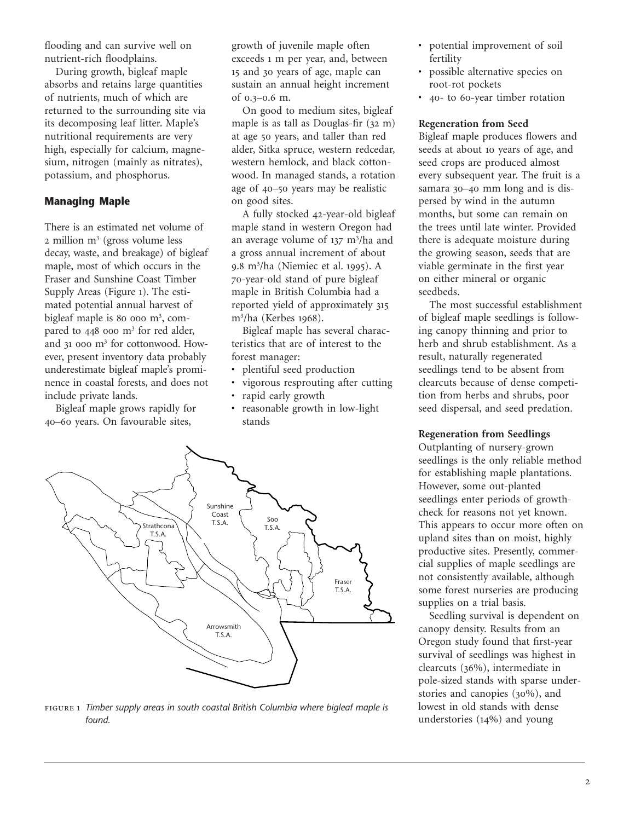flooding and can survive well on nutrient-rich floodplains.

During growth, bigleaf maple absorbs and retains large quantities of nutrients, much of which are returned to the surrounding site via its decomposing leaf litter. Maple's nutritional requirements are very high, especially for calcium, magnesium, nitrogen (mainly as nitrates), potassium, and phosphorus.

# **Managing Maple**

There is an estimated net volume of  $2$  million m<sup>3</sup> (gross volume less decay, waste, and breakage) of bigleaf maple, most of which occurs in the Fraser and Sunshine Coast Timber Supply Areas (Figure 1). The estimated potential annual harvest of bigleaf maple is 80 000  $m^3$ , compared to  $448$  ooo m<sup>3</sup> for red alder, and  $31$  000 m<sup>3</sup> for cottonwood. However, present inventory data probably underestimate bigleaf maple's prominence in coastal forests, and does not include private lands.

Bigleaf maple grows rapidly for 40-60 years. On favourable sites,

growth of juvenile maple often exceeds 1 m per year, and, between 15 and 30 years of age, maple can sustain an annual height increment of  $0.3 - 0.6$  m.

On good to medium sites, bigleaf maple is as tall as Douglas-fir  $(32 \text{ m})$ at age 50 years, and taller than red alder, Sitka spruce, western redcedar, western hemlock, and black cottonwood. In managed stands, a rotation age of 40-50 years may be realistic on good sites.

A fully stocked 42-year-old bigleaf maple stand in western Oregon had an average volume of 137 m<sup>3</sup>/ha and a gross annual increment of about 9.8 m<sup>3</sup>/ha (Niemiec et al. 1995). A -year-old stand of pure bigleaf maple in British Columbia had a reported yield of approximately m<sup>3</sup>/ha (Kerbes 1968).

Bigleaf maple has several characteristics that are of interest to the forest manager:

- plentiful seed production
- vigorous resprouting after cutting
- rapid early growth
- reasonable growth in low-light stands



 *Timber supply areas in south coastal British Columbia where bigleaf maple is found.*

- potential improvement of soil fertility
- possible alternative species on root-rot pockets
- 40- to 60-year timber rotation

#### **Regeneration from Seed**

Bigleaf maple produces flowers and seeds at about 10 years of age, and seed crops are produced almost every subsequent year. The fruit is a samara 30-40 mm long and is dispersed by wind in the autumn months, but some can remain on the trees until late winter. Provided there is adequate moisture during the growing season, seeds that are viable germinate in the first year on either mineral or organic seedbeds.

The most successful establishment of bigleaf maple seedlings is following canopy thinning and prior to herb and shrub establishment. As a result, naturally regenerated seedlings tend to be absent from clearcuts because of dense competition from herbs and shrubs, poor seed dispersal, and seed predation.

#### **Regeneration from Seedlings**

Outplanting of nursery-grown seedlings is the only reliable method for establishing maple plantations. However, some out-planted seedlings enter periods of growthcheck for reasons not yet known. This appears to occur more often on upland sites than on moist, highly productive sites. Presently, commercial supplies of maple seedlings are not consistently available, although some forest nurseries are producing supplies on a trial basis.

Seedling survival is dependent on canopy density. Results from an Oregon study found that first-year survival of seedlings was highest in clearcuts (36%), intermediate in pole-sized stands with sparse understories and canopies  $(30\%)$ , and lowest in old stands with dense understories  $(14%)$  and young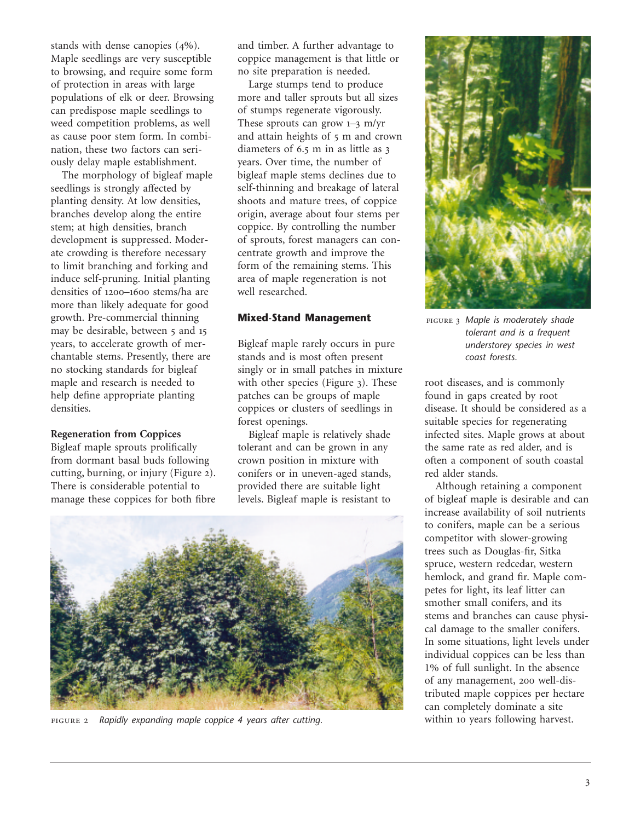stands with dense canopies  $(4\%)$ . Maple seedlings are very susceptible to browsing, and require some form of protection in areas with large populations of elk or deer. Browsing can predispose maple seedlings to weed competition problems, as well as cause poor stem form. In combination, these two factors can seriously delay maple establishment.

The morphology of bigleaf maple seedlings is strongly affected by planting density. At low densities, branches develop along the entire stem; at high densities, branch development is suppressed. Moderate crowding is therefore necessary to limit branching and forking and induce self-pruning. Initial planting densities of 1200-1600 stems/ha are more than likely adequate for good growth. Pre-commercial thinning may be desirable, between 5 and 15 years, to accelerate growth of merchantable stems. Presently, there are no stocking standards for bigleaf maple and research is needed to help define appropriate planting densities.

#### **Regeneration from Coppices**

Bigleaf maple sprouts prolifically from dormant basal buds following cutting, burning, or injury (Figure 2). There is considerable potential to manage these coppices for both fibre and timber. A further advantage to coppice management is that little or no site preparation is needed.

Large stumps tend to produce more and taller sprouts but all sizes of stumps regenerate vigorously. These sprouts can grow  $1-3$  m/yr and attain heights of 5 m and crown diameters of  $6.5$  m in as little as  $3$ years. Over time, the number of bigleaf maple stems declines due to self-thinning and breakage of lateral shoots and mature trees, of coppice origin, average about four stems per coppice. By controlling the number of sprouts, forest managers can concentrate growth and improve the form of the remaining stems. This area of maple regeneration is not well researched.

#### **Mixed-Stand Management**

Bigleaf maple rarely occurs in pure stands and is most often present singly or in small patches in mixture with other species (Figure  $_3$ ). These patches can be groups of maple coppices or clusters of seedlings in forest openings.

Bigleaf maple is relatively shade tolerant and can be grown in any crown position in mixture with conifers or in uneven-aged stands, provided there are suitable light levels. Bigleaf maple is resistant to



*Rapidly expanding maple coppice 4 years after cutting.*



 *Maple is moderately shade tolerant and is a frequent understorey species in west coast forests.*

root diseases, and is commonly found in gaps created by root disease. It should be considered as a suitable species for regenerating infected sites. Maple grows at about the same rate as red alder, and is often a component of south coastal red alder stands.

Although retaining a component of bigleaf maple is desirable and can increase availability of soil nutrients to conifers, maple can be a serious competitor with slower-growing trees such as Douglas-fir, Sitka spruce, western redcedar, western hemlock, and grand fir. Maple competes for light, its leaf litter can smother small conifers, and its stems and branches can cause physical damage to the smaller conifers. In some situations, light levels under individual coppices can be less than 1% of full sunlight. In the absence of any management, 200 well-distributed maple coppices per hectare can completely dominate a site within 10 years following harvest.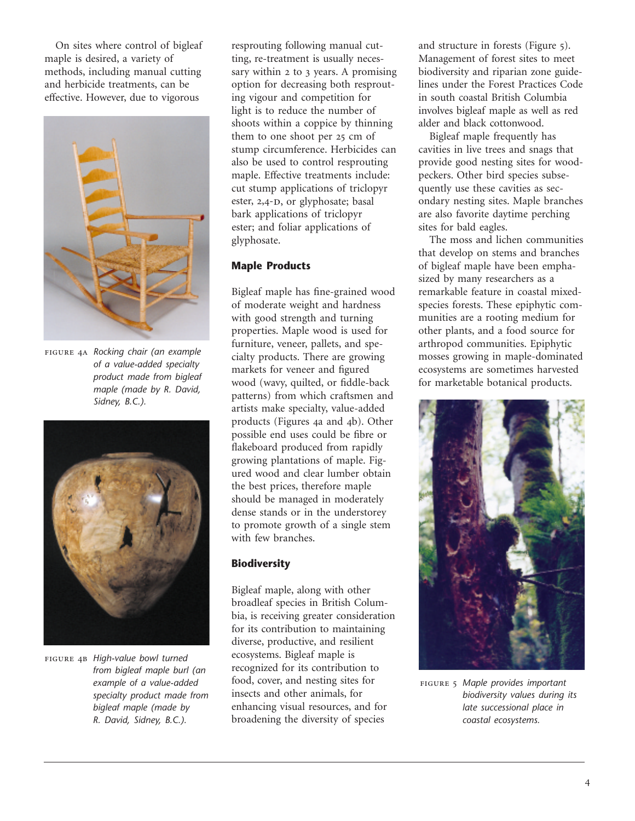On sites where control of bigleaf maple is desired, a variety of methods, including manual cutting and herbicide treatments, can be effective. However, due to vigorous



 *Rocking chair (an example of a value-added specialty product made from bigleaf maple (made by R. David, Sidney, B.C.).*



 *High-value bowl turned from bigleaf maple burl (an example of a value-added specialty product made from bigleaf maple (made by R. David, Sidney, B.C.).*

resprouting following manual cutting, re-treatment is usually necessary within 2 to 3 years. A promising option for decreasing both resprouting vigour and competition for light is to reduce the number of shoots within a coppice by thinning them to one shoot per 25 cm of stump circumference. Herbicides can also be used to control resprouting maple. Effective treatments include: cut stump applications of triclopyr ester, 2,4-D, or glyphosate; basal bark applications of triclopyr ester; and foliar applications of glyphosate.

# **Maple Products**

Bigleaf maple has fine-grained wood of moderate weight and hardness with good strength and turning properties. Maple wood is used for furniture, veneer, pallets, and specialty products. There are growing markets for veneer and figured wood (wavy, quilted, or fiddle-back patterns) from which craftsmen and artists make specialty, value-added products (Figures 4a and 4b). Other possible end uses could be fibre or flakeboard produced from rapidly growing plantations of maple. Figured wood and clear lumber obtain the best prices, therefore maple should be managed in moderately dense stands or in the understorey to promote growth of a single stem with few branches.

# **Biodiversity**

Bigleaf maple, along with other broadleaf species in British Columbia, is receiving greater consideration for its contribution to maintaining diverse, productive, and resilient ecosystems. Bigleaf maple is recognized for its contribution to food, cover, and nesting sites for insects and other animals, for enhancing visual resources, and for broadening the diversity of species

and structure in forests (Figure 5). Management of forest sites to meet biodiversity and riparian zone guidelines under the Forest Practices Code in south coastal British Columbia involves bigleaf maple as well as red alder and black cottonwood.

Bigleaf maple frequently has cavities in live trees and snags that provide good nesting sites for woodpeckers. Other bird species subsequently use these cavities as secondary nesting sites. Maple branches are also favorite daytime perching sites for bald eagles.

The moss and lichen communities that develop on stems and branches of bigleaf maple have been emphasized by many researchers as a remarkable feature in coastal mixedspecies forests. These epiphytic communities are a rooting medium for other plants, and a food source for arthropod communities. Epiphytic mosses growing in maple-dominated ecosystems are sometimes harvested for marketable botanical products.



 *Maple provides important biodiversity values during its late successional place in coastal ecosystems.*